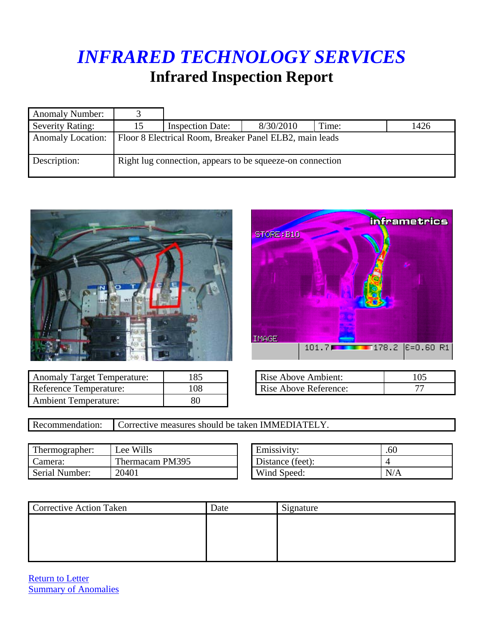| <b>Anomaly Number:</b>   |                                                           |           |       |      |
|--------------------------|-----------------------------------------------------------|-----------|-------|------|
| <b>Severity Rating:</b>  | <b>Inspection Date:</b>                                   | 8/30/2010 | Time: | 1426 |
| <b>Anomaly Location:</b> | Floor 8 Electrical Room, Breaker Panel ELB2, main leads   |           |       |      |
| Description:             | Right lug connection, appears to be squeeze-on connection |           |       |      |



|              |  | <b>inframetrics</b>   |
|--------------|--|-----------------------|
| STORE: B10   |  |                       |
|              |  |                       |
|              |  |                       |
|              |  |                       |
|              |  |                       |
|              |  |                       |
|              |  |                       |
| <b>IMAGE</b> |  |                       |
|              |  | 101.7 2 2 2 E=0.60 R1 |

| <b>Anomaly Target Temperature:</b> | '85    | <b>Rise Above Ambient:</b> | 105 |
|------------------------------------|--------|----------------------------|-----|
| Reference Temperature:             | .08    | Rise Above Reference:      | 77  |
| <b>Ambient Temperature:</b>        | $80\,$ |                            |     |

| Rise Above Ambient:   |  |
|-----------------------|--|
| Rise Above Reference: |  |

| Recommendation: Corrective measures should be taken IMMEDIATELY. |
|------------------------------------------------------------------|
|                                                                  |

| Thermographer: | Lee Wills       | Emissivity:      | .60 |
|----------------|-----------------|------------------|-----|
| amera:         | Thermacam PM395 | Distance (feet): |     |
| Serial Number: | 20401           | Wind Speed:      | N/A |

| Emissivity:      | $.60^{\circ}$ |
|------------------|---------------|
| Distance (feet): |               |
| Wind Speed:      | N/A           |

| <b>Corrective Action Taken</b> | <b>Date</b> | Signature |
|--------------------------------|-------------|-----------|
|                                |             |           |
|                                |             |           |
|                                |             |           |
|                                |             |           |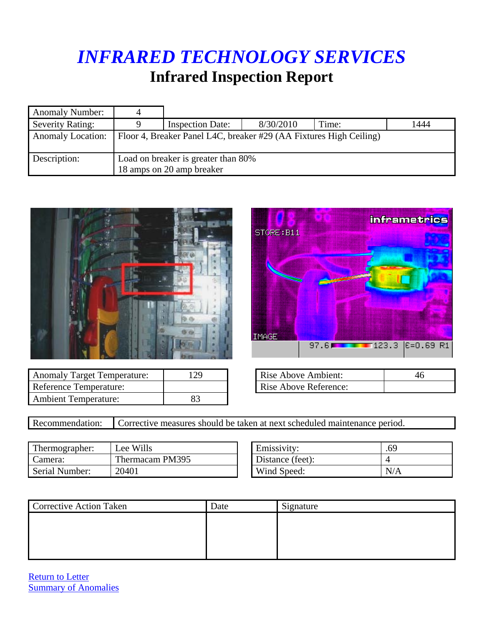| <b>Anomaly Number:</b>   |                                                                    |           |       |      |
|--------------------------|--------------------------------------------------------------------|-----------|-------|------|
| <b>Severity Rating:</b>  | <b>Inspection Date:</b>                                            | 8/30/2010 | Time: | 1444 |
| <b>Anomaly Location:</b> | Floor 4, Breaker Panel L4C, breaker #29 (AA Fixtures High Ceiling) |           |       |      |
| Description:             | Load on breaker is greater than 80%<br>18 amps on 20 amp breaker   |           |       |      |





| <b>Anomaly Target Temperature:</b> | 29 | Rise Above Ambient:   | 46 |
|------------------------------------|----|-----------------------|----|
| Reference Temperature:             |    | Rise Above Reference: |    |
| <b>Ambient Temperature:</b>        |    |                       |    |

| Rise Above Ambient:   |  |
|-----------------------|--|
| Rise Above Reference: |  |

Recommendation: Corrective measures should be taken at next scheduled maintenance period.

| Thermographer: | Lee Wills       | Emissivity:      | .69 |
|----------------|-----------------|------------------|-----|
| . camera:      | Thermacam PM395 | Distance (feet): |     |
| Serial Number: | 20401           | Wind Speed:      | N/A |

| <b>Emissivity:</b> | 69  |
|--------------------|-----|
| Distance (feet):   |     |
| Wind Speed:        | N/A |

| <b>Corrective Action Taken</b> | Date | Signature |
|--------------------------------|------|-----------|
|                                |      |           |
|                                |      |           |
|                                |      |           |
|                                |      |           |

Return to Letter Summary of Anomalies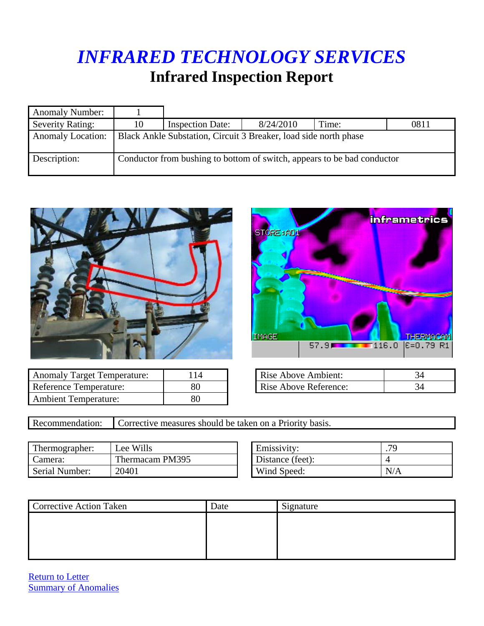| <b>Anomaly Number:</b>   |    |                                                                         |           |       |      |
|--------------------------|----|-------------------------------------------------------------------------|-----------|-------|------|
| <b>Severity Rating:</b>  | 10 | <b>Inspection Date:</b>                                                 | 8/24/2010 | Time: | 0811 |
| <b>Anomaly Location:</b> |    | Black Ankle Substation, Circuit 3 Breaker, load side north phase        |           |       |      |
| Description:             |    | Conductor from bushing to bottom of switch, appears to be bad conductor |           |       |      |



|              |                | <b>inframetrics</b> |
|--------------|----------------|---------------------|
| STORE: ADD   |                |                     |
|              |                |                     |
|              |                |                     |
|              |                |                     |
| <b>IMAGE</b> |                | <b>THERMACAM</b>    |
|              | $57.9$ $116.0$ | $E = 0.79 R1$       |

| <b>Anomaly Target Temperature:</b> | 14 | Rise Above Ambient:   |  |
|------------------------------------|----|-----------------------|--|
| Reference Temperature:             |    | Rise Above Reference: |  |
| <b>Ambient Temperature:</b>        | 80 |                       |  |

| Rise Above Ambient:   |  |
|-----------------------|--|
| Rise Above Reference: |  |

Recommendation: Corrective measures should be taken on a Priority basis.

| Thermographer: | Lee Wills       | Emissivity:      | 70  |
|----------------|-----------------|------------------|-----|
| Camera:        | Thermacam PM395 | Distance (feet): |     |
| Serial Number: | 20401           | Wind Speed:      | N/A |

| Emissivity:      |  |
|------------------|--|
| Distance (feet): |  |
| Wind Speed:      |  |

| <b>Corrective Action Taken</b> | Date | Signature |
|--------------------------------|------|-----------|
|                                |      |           |
|                                |      |           |
|                                |      |           |
|                                |      |           |

**Return to Letter Summary of Anomalies**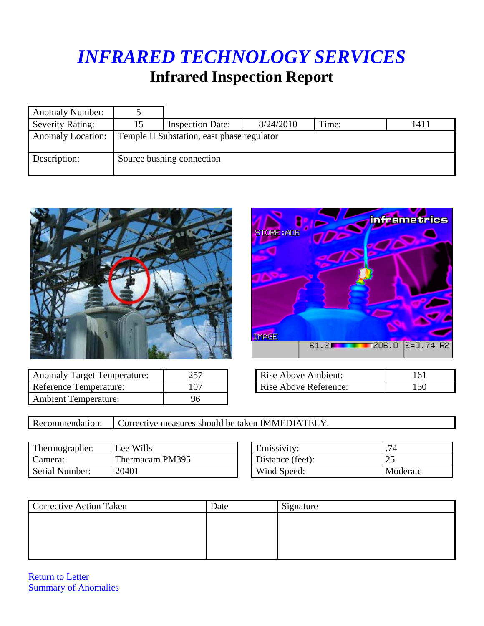| <b>Anomaly Number:</b>   |                                            |           |       |      |
|--------------------------|--------------------------------------------|-----------|-------|------|
| <b>Severity Rating:</b>  | <b>Inspection Date:</b>                    | 8/24/2010 | Time: | 1411 |
| <b>Anomaly Location:</b> | Temple II Substation, east phase regulator |           |       |      |
| Description:             | Source bushing connection                  |           |       |      |



|  | 61.2 2 206.0 E=0.74 R2 |
|--|------------------------|

| <b>Anomaly Target Temperature:</b> |    | <b>Rise Above Ambient:</b> |    |
|------------------------------------|----|----------------------------|----|
| Reference Temperature:             |    | Rise Above Reference:      | 50 |
| <b>Ambient Temperature:</b>        | 96 |                            |    |

| Rise Above Ambient:   | ۱61 |
|-----------------------|-----|
| Rise Above Reference: |     |

| Recommendation: Corrective measures should be taken IMMEDIATELY. |
|------------------------------------------------------------------|
|                                                                  |

| Thermographer: | Lee Wills       | Emissivity:      | .74           |
|----------------|-----------------|------------------|---------------|
| Camera:        | Thermacam PM395 | Distance (feet): | $\cap$<br>ے ک |
| Serial Number: | 20401           | Wind Speed:      | Moderate      |

| Emissivity:      |          |
|------------------|----------|
| Distance (feet): |          |
| Wind Speed:      | Moderate |

| <b>Corrective Action Taken</b> | Date | Signature |
|--------------------------------|------|-----------|
|                                |      |           |
|                                |      |           |
|                                |      |           |
|                                |      |           |

**Return to Letter** Summary of Anomalies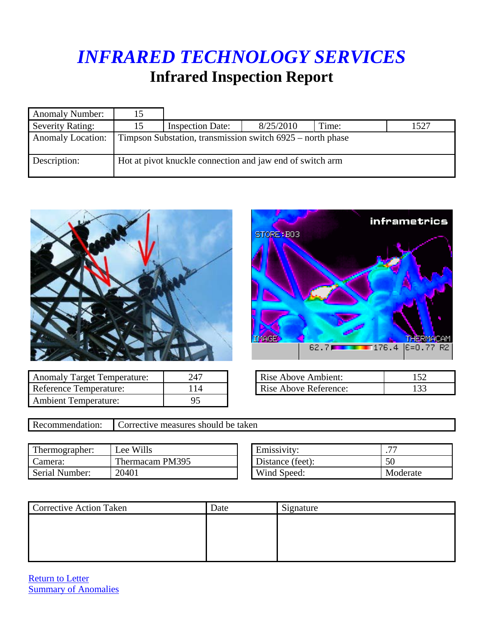| <b>Anomaly Number:</b>   |                                                           |                                                            |           |       |      |
|--------------------------|-----------------------------------------------------------|------------------------------------------------------------|-----------|-------|------|
| <b>Severity Rating:</b>  |                                                           | <b>Inspection Date:</b>                                    | 8/25/2010 | Time: | 1527 |
| <b>Anomaly Location:</b> |                                                           | Timpson Substation, transmission switch 6925 – north phase |           |       |      |
| Description:             | Hot at pivot knuckle connection and jaw end of switch arm |                                                            |           |       |      |



| STORE: B03   |      | inframetrics         |                                   |  |
|--------------|------|----------------------|-----------------------------------|--|
|              |      |                      |                                   |  |
|              |      |                      |                                   |  |
|              |      |                      |                                   |  |
|              |      |                      |                                   |  |
| <b>IMAGE</b> | 62.7 | $\blacksquare$ 176.4 | <b>THERMACAM</b><br>$E = 0.77 R2$ |  |

| <b>Anomaly Target Temperature:</b> | 247 | <b>Rise Above Ambient:</b> |  |
|------------------------------------|-----|----------------------------|--|
| <b>Reference Temperature:</b>      |     | Rise Above Reference:      |  |
| <b>Ambient Temperature:</b>        |     |                            |  |

| <b>Rise Above Ambient:</b> |  |
|----------------------------|--|
| Rise Above Reference:      |  |

| Recommendation: | Corrective measures should be taken |
|-----------------|-------------------------------------|
|                 |                                     |

| Thermographer: | Lee Wills       | Emissivity:      | $\overline{\phantom{a}}$ |
|----------------|-----------------|------------------|--------------------------|
| . amera:       | Thermacam PM395 | Distance (feet): | 50                       |
| Serial Number: | 20401           | Wind Speed:      | Moderate                 |

| Emissivity:      |          |
|------------------|----------|
| Distance (feet): |          |
| Wind Speed:      | Moderate |

| <b>Corrective Action Taken</b> | Date | Signature |
|--------------------------------|------|-----------|
|                                |      |           |
|                                |      |           |
|                                |      |           |
|                                |      |           |